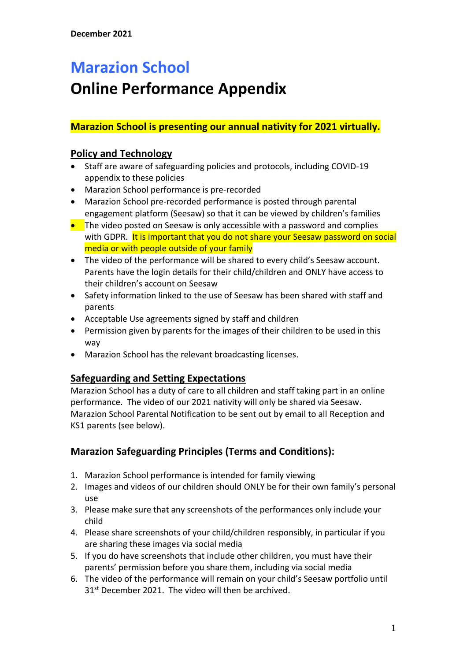## **Marazion School**

# **Online Performance Appendix**

### **Marazion School is presenting our annual nativity for 2021 virtually.**

#### **Policy and Technology**

- Staff are aware of safeguarding policies and protocols, including COVID-19 appendix to these policies
- Marazion School performance is pre-recorded
- Marazion School pre-recorded performance is posted through parental engagement platform (Seesaw) so that it can be viewed by children's families
- The video posted on Seesaw is only accessible with a password and complies with GDPR. It is important that you do not share your Seesaw password on social media or with people outside of your family
- The video of the performance will be shared to every child's Seesaw account. Parents have the login details for their child/children and ONLY have access to their children's account on Seesaw
- Safety information linked to the use of Seesaw has been shared with staff and parents
- Acceptable Use agreements signed by staff and children
- Permission given by parents for the images of their children to be used in this way
- Marazion School has the relevant broadcasting licenses.

### **Safeguarding and Setting Expectations**

Marazion School has a duty of care to all children and staff taking part in an online performance. The video of our 2021 nativity will only be shared via Seesaw. Marazion School Parental Notification to be sent out by email to all Reception and KS1 parents (see below).

### **Marazion Safeguarding Principles (Terms and Conditions):**

- 1. Marazion School performance is intended for family viewing
- 2. Images and videos of our children should ONLY be for their own family's personal use
- 3. Please make sure that any screenshots of the performances only include your child
- 4. Please share screenshots of your child/children responsibly, in particular if you are sharing these images via social media
- 5. If you do have screenshots that include other children, you must have their parents' permission before you share them, including via social media
- 6. The video of the performance will remain on your child's Seesaw portfolio until 31<sup>st</sup> December 2021. The video will then be archived.